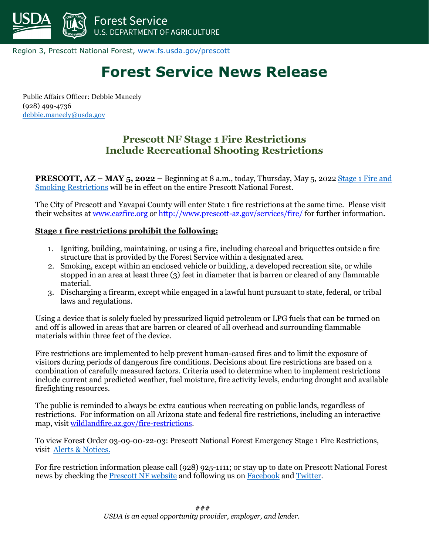

Region 3, Prescott National Forest, [www.fs.usda.gov/prescott](http://www.fs.usda.gov/prescott)

# **Forest Service News Release**

Public Affairs Officer: Debbie Maneely (928) 499-4736 [debbie.maneely@usda.gov](mailto:debbie.maneely@usda.gov)

# **Prescott NF Stage 1 Fire Restrictions Include Recreational Shooting Restrictions**

**PRESCOTT, AZ – MAY 5, 2022 –** Beginning at 8 a.m., today, Thursday, May 5, 2022 [Stage 1 Fire and](https://www.fs.usda.gov/alerts/prescott/alerts-notices/?aid=72537)  [Smoking Restrictions](https://www.fs.usda.gov/alerts/prescott/alerts-notices/?aid=72537) will be in effect on the entire Prescott National Forest.

The City of Prescott and Yavapai County will enter State 1 fire restrictions at the same time. Please visit their websites at [www.cazfire.org](http://www.cazfire.org/) o[r http://www.prescott-az.gov/services/fire/](http://www.prescott-az.gov/services/fire/) for further information.

#### **Stage 1 fire restrictions prohibit the following:**

- 1. Igniting, building, maintaining, or using a fire, including charcoal and briquettes outside a fire structure that is provided by the Forest Service within a designated area.
- 2. Smoking, except within an enclosed vehicle or building, a developed recreation site, or while stopped in an area at least three (3) feet in diameter that is barren or cleared of any flammable material.
- 3. Discharging a firearm, except while engaged in a lawful hunt pursuant to state, federal, or tribal laws and regulations.

Using a device that is solely fueled by pressurized liquid petroleum or LPG fuels that can be turned on and off is allowed in areas that are barren or cleared of all overhead and surrounding flammable materials within three feet of the device.

Fire restrictions are implemented to help prevent human-caused fires and to limit the exposure of visitors during periods of dangerous fire conditions. Decisions about fire restrictions are based on a combination of carefully measured factors. Criteria used to determine when to implement restrictions include current and predicted weather, fuel moisture, fire activity levels, enduring drought and available firefighting resources.

The public is reminded to always be extra cautious when recreating on public lands, regardless of restrictions. For information on all Arizona state and federal fire restrictions, including an interactive map, visi[t wildlandfire.az.gov/fire-restrictions.](https://gcc02.safelinks.protection.outlook.com/?url=https%3A%2F%2Fr20.rs6.net%2Ftn.jsp%3Ff%3D001lQ9Clp-c_TRPE-V4zhH7QwxbCj4D_vcwTtfD15TejU6th1N6qYvjhPL7ffmfqSLk2Bi04ynTes6yTwgNifm8lNY5l_7yxu8wO7gMXsa8sk4WEdF9NYVo58Xnw29fEN6dhocAW3gM7E49T2hrpMSrzPhtKWBN7szjbm6FcaNBBDU%3D%26c%3DticvftrG88MX496H47TX5qsEErzFO8eE0YeEC8nem8tzA9kt1ZHC3w%3D%3D%26ch%3D1ozjf1Jml_SUz8AgoePqojBI2yW-1DCGh1ke3PRcmVi75_lpHh-BaA%3D%3D&data=05%7C01%7C%7C367639c5d08d4986dd9a08da2a1dd78b%7Ced5b36e701ee4ebc867ee03cfa0d4697%7C0%7C0%7C637868604903735045%7CUnknown%7CTWFpbGZsb3d8eyJWIjoiMC4wLjAwMDAiLCJQIjoiV2luMzIiLCJBTiI6Ik1haWwiLCJXVCI6Mn0%3D%7C3000%7C%7C%7C&sdata=lN6KCh7LALWSXNlWiUP9B%2B0F6mgtoo18Jbhkio1r%2Bo0%3D&reserved=0)

To view Forest Order 03-09-00-22-03: Prescott National Forest Emergency Stage 1 Fire Restrictions, visit [Alerts & Notices.](https://www.fs.usda.gov/alerts/prescott/alerts-notices)

For fire restriction information please call (928) 925-1111; or stay up to date on Prescott National Forest news by checking th[e Prescott NF website](https://www.fs.usda.gov/prescott/) and following us on [Facebook](https://m.facebook.com/PrescottNF/) and [Twitter.](https://twitter.com/PrescottNF)